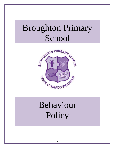# Broughton Primary School



# Behaviour **Policy**

1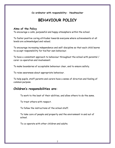**Co-ordinator with responsibility: Headteacher**

## **BEHAVIOUR POLICY**

#### **Aims of the Policy**

To encourage a calm, purposeful and happy atmosphere within the school.

To foster positive caring attitudes towards everyone where achievements at all levels are acknowledged and valued.

To encourage increasing independence and self-discipline so that each child learns to accept responsibility for his/her own behaviour.

To have a consistent approach to behaviour throughout the school with parental / carer co-operation and involvement.

To make boundaries of acceptable behaviour clear, and to ensure safety.

To raise awareness about appropriate behaviour.

To help pupils, staff parents and carers have a sense of direction and feeling of common purpose.

## **Children's responsibilities are:**

To work to the best of their abilities, and allow others to do the same.

To treat others with respect.

To follow the instructions of the school staff.

To take care of people and property and the environment in and out of school.

To co-operate with other children and adults.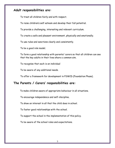## **Adult responsibilities are:**

To treat all children fairly and with respect.

To raise children's self esteem and develop their full potential.

To provide a challenging, interesting and relevant curriculum.

To create a safe and pleasant environment, physically and emotionally.

To use rules and sanctions clearly and consistently.

To be a good role model.

To form a good relationship with parents/ carers so that all children can see that the key adults in their lives share a common aim.

To recognise that each is an individual

To be aware of any additional needs.

To offer a framework for development in PSWCD (Foundation Phase).

### **The Parents / Carers' responsibilities are:**

To make children aware of appropriate behaviour in all situations.

To encourage independence and self-discipline.

To show an interest in all that the child does in school.

To foster good relationships with the school.

To support the school in the implementation of this policy.

To be aware of the school rules and expectations.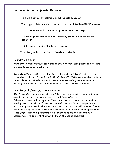## **Encouraging Appropriate Behaviour**

To make clear our expectations of appropriate behaviour.

Teach appropriate behaviour through circle time, PSWCD and PHSE sessions

To discourage unsociable behaviour by promoting mutual respect.

To encourage children to take responsibility for their own actions and behaviour.

To set through example standards of behaviour.

To praise good behaviour both privately and publicly.

## **Foundation Phase**

**Nursery** - verbal praise, stamps, star charts if needed, certificates and stickers are used to praise good behaviour.

**Reception Year 1/2 -** verbal praise, stickers, Seren Y Dydd stickers ( Y1 = chosen by teachers, Y2 = pupil nominations), Seren Yr Wythnos chosen by teachers to be celebrated in Friday assembly. Good to be Green daily stickers are used to praise good behaviour. Class Dojos are used to reward positive behaviour.

## **Key Stage 2** (Year 3,4, 5 and 6 children)

**Merit Awards -** Collection of Bronze, Silver, and Gold merits through individual award system. (Merits are awarded for "outstanding" effort). Behaviour is rewarded through the "Good to be Green "scheme. (see appendix) Weekly reward activity – 20 minutes directed free time in class for pupils who have been green all week. There will be a reward activity per half term e.g. film or outdoor activity which will agreed with the pupils on a termly basis as appropriate. **Class DoJo** – agreed expectations will be awarded points on a weekly basis. Celebration for pupils with the most points at the end of each week.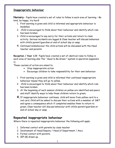#### **Inappropriate behaviour**

**Nursery** – Pupils have created a set of rules to follow in each area of learning – Be kind, be happy, try hard!

- 1. First warning is given and child is informed and appropriate behaviour is modelled.
- 2. Child is encouraged to think about their behaviour and identify which rule has been broken.
- 3. Child is encouraged to say sorry for their actions and return to class activity. Serious incidents are logged & Class teacher will discuss behaviour with child's parent/guardian at end of school day or asap.
- 4. Continued misbehaviour the child actions will be discussed with the Head teacher and parents.

**Reception / Year 1/2–** Pupils have created a set of identical rules to follow in each area of learning also The " Good to Be Green " system in operation (appendix 1)

These courses of action are aimed to;

- Stop inappropriate action
- Encourage children to take responsibility for their own behaviour.
- 1. First warning is given and child is informed that continued inappropriate behaviour means they will go to yellow.
- 2. Child is encouraged to think about their behaviour and identify which rule has been broken.
- 3. At the beginning of each session children on yellow are identified and peers and staff identify ways to help those children return to green.
- **4.**If inappropriate behaviour continues, child will move from yellow card to a red card. Child will be asked to discuss their actions with a member of SMT and agree a consequence which if completed enables them to return to green. Class teacher will discuss behaviour with child's parent/guardian at end of school day or asap.

## **Repeated inappropriate behaviour**

Where there is repeated inappropriate behaviour the following will apply:

- 1. Informal contact with parents by class teacher
- 2. Involvement of Head/Deputy / Head of Department / Anco
- 3. Formal contact with parents.
- 4. IEP (B) drawn up.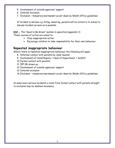- 5. Involvement of outside agencies/ support
- 6. Internal exclusion
- 7. Exclusion temporary/permanent as set down by Welsh Office guidelines

If incident is serious e.g. biting, swearing, parents will be invited in to school to discuss incident as soon as is possible.

**KS2 -** The "Good to Be Green" system in operation (appendix 1)

These courses of action are aimed to;

- Stop inappropriate action
- Encourage children to take responsibility for their own behaviour.

## **Repeated inappropriate behaviour**

Where there is repeated inappropriate behaviour the following will apply:

- 8. Informal contact with parents by class teacher
- 9. Involvement of Head/Deputy / Head of Department / ALNCO
- 10. Formal contact with parents.
- 11. IEP (B) drawn up.
- 12. Involvement of outside agencies/ support
- 13. Internal exclusion
- 14. Exclusion temporary/permanent as set down by Welsh Office guidelines

In some more serious incidents a route from formal contact with parents straight to exclusion may be deemed necessary.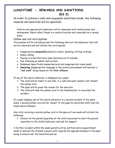## **LUNCHTIME - REWARDS AND SANCTIONS (KS 2)**

In order to achieve a safe and enjoyable lunchtime break, the following rewards and sanctions will be operated;

Positive and appropriate behaviour will be rewarded with verbal praise and smilograms. Pupils collect these in a central location and rewarded on a termly basis.

#### Yellow and red card system

This system will be introduced and the following sets out the behaviour that will not be tolerated and will initiate the card system.

- Inappropriate **purposeful** physical contact (pushing, hitting, kicking)
- Name-calling
- Playing in areas that have been declared out of bounds
- Not following an adults instructions
- Rudeness (specifically answering back and inappropriate tones used)
- **Swearing** (inappropriate language in the school environment will warrant a **"red card"** being issued on the **first offence.**

If any of the above behaviour is displayed by a pupil;

- 1. The child will be taken to one side, in a calm and quiet manner and "shown" the yellow card.
- 2. The pupil will be given the reason for the sanction.
- 3. The child will take the yellow card to the Headteacher to recorded the incident.

If a pupil displays any of the above behaviour in a second incident in the same week, a second yellow card will be "shown" to the pupil by lunchtime staff and the steps above followed.

Any child receiving a second yellow card in the space of one week will initiate the following:

1. Contact of the parent/guardian of the child concerned to alert the parent /guardian to the child's behaviour and ask for support

A further incident within the week parents will be notified and an appointment made to discuss the Schools concern with regards the appropriateness of the pupil being in school over the lunchtime period.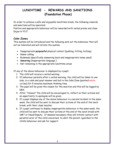## **LUNCHTIME - REWARDS AND SANCTIONS (Foundation Phase)**

In order to achieve a safe and enjoyable lunchtime break, the following rewards and sanctions will be operated;

Positive and appropriate behaviour will be rewarded with verbal praise and class Dojos in Y1/2

## **Calm Zones**

This system will be introduced and the following sets out the behaviour that will not be tolerated and will initiate the system.

- Inappropriate **purposeful** physical contact (pushing, hitting, kicking)
- Name-calling
- Rudeness (specifically answering back and inappropriate tones used)
- **Swearing** (inappropriate language )
- Not remaining in the appropriate lunchtime areas

If any of the above behaviour is displayed by a pupil;

- 1. The child will receive a verbal warning
- 2. If behaviour persists after a verbal warning, the child will be taken to one side, in a calm and quiet manner and led to the Calm Zone (painted white circles) for 5 minutes maximum thinking time.
- 3. The pupil will be given the reason for the sanction and this will be logged by DRA.
- 4. After "timeout" the child will be encouraged to, reflect on their actions and an opportunity to apologise will be given.
- 5. If a pupil displays any of the above behaviour in a second incident in the same week, the child will be sent to discuss their actions at the end of the lunch break, with their class teacher.
- 6. If a pupil continues to display inappropriate behaviour in the same week, the child will be sent to discuss their actions at the end of the lunch break with SMT or Head/Deputy. If deemed necessary they will initiate contact with parents/carer of the child concerned, to alert the parent /guardian to the child's behaviour and ask for support.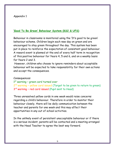#### Appendix 1

#### **'Good To Be Green' Behaviour System (KS2 & UFS)**

Behaviour in classrooms is monitored using the 'It's good to be green' behaviour scheme. Children begin each new day on green and are encouraged to stay green throughout the day. This system has been put in place to reinforce the expectation of consistent good behaviour. A reward event is planned at the end of every half term in recognition of this positive behaviour for Years 4, 5 and 6, and on a weekly basis for Years 2 and 3.

However, children who choose to ignore reminders about acceptable behaviour will be expected to take responsibility for their own actions and accept the consequences.

#### Consequences:

1<sup>st</sup> warning - green card turned over 2<sup>nd</sup> warning - yellow card issued (Target to be given to return to green) 3<sup>rd</sup> warning - red card issued (Pupil sent to Head)

Three unresolved yellow cards in one week would raise concerns regarding a child's behaviour. Therefore in order to monitor their behaviour closely, there will be daily communication between the teacher and parents for one week and this may affect their opportunities in any out of school activities.

In the unlikely event of persistent unacceptable behaviour or if there is a serious incident, parents will be contacted and a meeting arranged with the Head Teacher to agree the best way forward.